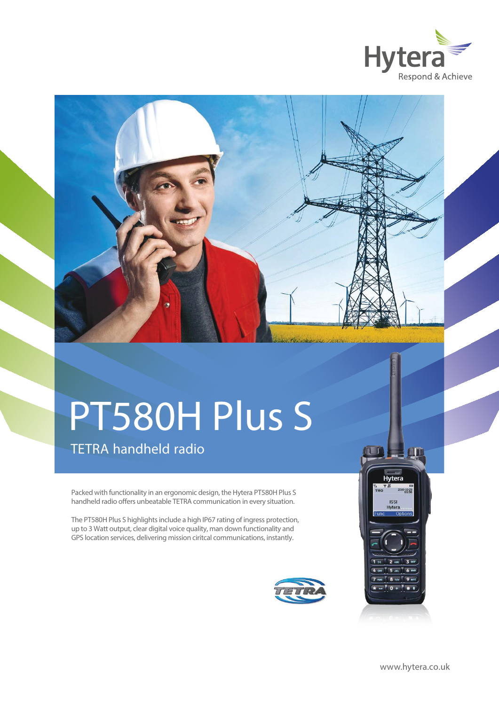



# PT580H Plus S

# TETRA handheld radio

Packed with functionality in an ergonomic design, the Hytera PT580H Plus S handheld radio offers unbeatable TETRA communication in every situation.

The PT580H Plus S highlights include a high IP67 rating of ingress protection, up to 3 Watt output, clear digital voice quality, man down functionality and GPS location services, delivering mission ciritcal communications, instantly.



Hytera

 $-10-29$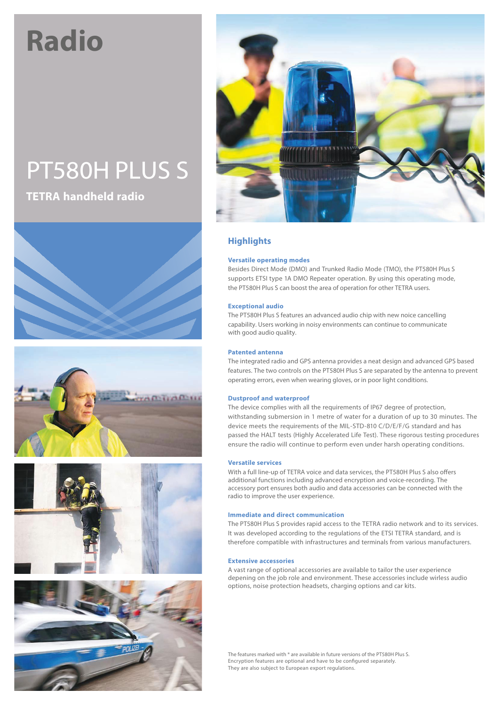# **Radio**

# PT580H PLUS S

**TETRA handheld radio**











### **Highlights**

#### **Versatile operating modes**

Besides Direct Mode (DMO) and Trunked Radio Mode (TMO), the PT580H Plus S supports ETSI type 1A DMO Repeater operation. By using this operating mode, the PT580H Plus S can boost the area of operation for other TETRA users.

#### **Exceptional audio**

The PT580H Plus S features an advanced audio chip with new noice cancelling capability. Users working in noisy environments can continue to communicate with good audio quality.

#### **Patented antenna**

The integrated radio and GPS antenna provides a neat design and advanced GPS based features. The two controls on the PT580H Plus S are separated by the antenna to prevent operating errors, even when wearing gloves, or in poor light conditions.

#### **Dustproof and waterproof**

The device complies with all the requirements of IP67 degree of protection, withstanding submersion in 1 metre of water for a duration of up to 30 minutes. The device meets the requirements of the MIL-STD-810 C/D/E/F/G standard and has passed the HALT tests (Highly Accelerated Life Test). These rigorous testing procedures ensure the radio will continue to perform even under harsh operating conditions.

#### **Versatile services**

With a full line-up of TETRA voice and data services, the PT580H Plus S also offers additional functions including advanced encryption and voice-recording. The accessory port ensures both audio and data accessories can be connected with the radio to improve the user experience.

#### **Immediate and direct communication**

The PT580H Plus S provides rapid access to the TETRA radio network and to its services. It was developed according to the regulations of the ETSI TETRA standard, and is therefore compatible with infrastructures and terminals from various manufacturers.

#### **Extensive accessories**

A vast range of optional accessories are available to tailor the user experience depening on the job role and environment. These accessories include wirless audio options, noise protection headsets, charging options and car kits.

The features marked with \* are available in future versions of the PT580H Plus S. Encryption features are optional and have to be configured separately. They are also subject to European export regulations.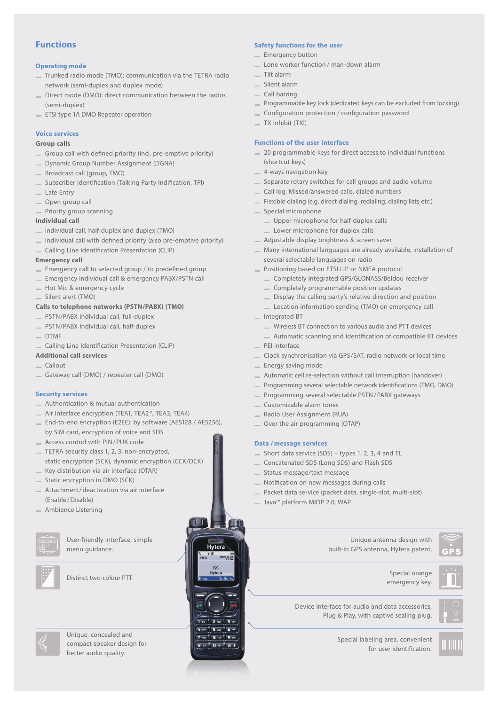#### **Functions**

#### **Operating mode**

- Trunked radio mode (TMO): communication via the TETRA radio network (semi-duplex and duplex mode)
- Direct mode (DMO): direct communication between the radios (semi-duplex)
- **ETSI type 1A DMO Repeater operation**

#### **Voice services**

#### **Group calls**

- Group call with defined priority (incl. pre-emptive priority)
- Dynamic Group Number Assignment (DGNA)
- Broadcast call (group, TMO)
- $=$  Subscriber identification (Talking Party Indification, TPI)
- Late Entry
- Open group call
- Priority group scanning

#### **Individual call**

- $\equiv$  Individual call, half-duplex and duplex (TMO)
- $\equiv$  Individual call with defined priority (also pre-emptive priority)
- Calling Line Identification Presentation (CLIP)

#### **Emergency call**

- $\equiv$  Emergency call to selected group / to predefined group
- Emergency individual call & emergency PABX/PSTN call
- Hot Mic & emergency cycle
- Silent alert (TMO)

#### **Calls to telephone networks (PSTN/PABX) (TMO)**

- PSTN/PABX individual call, full-duplex
- PSTN/PABX individual call, half-duplex
- $-$  DTMF
- Calling Line Identification Presentation (CLIP)

#### **Additional call services**

- Callout
- Gateway call (DMO) / repeater call (DMO)

#### **Security services**

- Authentication & mutual authentication
- Air interface encryption (TEA1, TEA2 \*, TEA3, TEA4)
- End-to-end encryption (E2EE): by software (AES128 / AES256), by SIM card, encryption of voice and SDS
- Access control with PIN/PUK code
- TETRA security class 1, 2, 3: non-encrypted, static encryption (SCK), dynamic encryption (CCK/DCK)
- Key distribution via air interface (OTAR)
- Static encryption in DMO (SCK) Attachment/deactivation via air interface
- (Enable /Disable)
- Ambience Listening



User-friendly interface, simple menu guidance.



Distinct two-colour PTT



Unique, concealed and compact speaker design for better audio quality.

#### **Safety functions for the user**

- **Emergency button**
- Lone worker function / man-down alarm
- Tilt alarm
- Silent alarm
- Call barring
- Programmable key lock (dedicated keys can be excluded from locking)
- Conguration protection / conguration password
- TX Inhibit (TXI)

#### **Functions of the user interface**

- $-$  20 programmable keys for direct access to individual functions (shortcut keys)
- 4-ways navigation key
- Separate rotary switches for call groups and audio volume
- Call log: Missed/answered calls, dialed numbers
- Flexible dialing (e.g. direct dialing, redialing, dialing lists etc.)
- Special microphone
	- Upper microphone for half-duplex calls
	- Lower microphone for duplex calls
- Adjustable display brightness & screen saver
- Many international languages are already available, installation of several selectable languages on radio
- Positioning based on ETSI LIP or NMEA protocol
	- Completely integrated GPS/GLONASS/Beidou receiver
	- Completely programmable position updates
	- Display the calling party's relative direction and position
	- Location information sending (TMO) on emergency call
- Integrated BT
	- Wireless BT connection to various audio and PTT devices
	- <sup>1</sup> Automatic scanning and identification of compatible BT devices
- PEI interface
- Clock synchronisation via GPS/SAT, radio network or local time
- **Energy saving mode**
- Automatic cell re-selection without call interruption (handover)
- Programming several selectable network identifications (TMO, DMO)
- Programming several selectable PSTN/PABX gateways
- Customizable alarm tones
- Radio User Assignment (RUA)
- Over the air programming (OTAP)

#### **Data / message services**

 $221$ 

 $2 \text{ arc}$  $\overline{X}$  note 5 JKL 6 MMO

8 TUY 9 BTZ  $* - 0 + 1 + 1$ 

4 at

- Short data service (SDS) types 1, 2, 3, 4 and TL
- Concatenated SDS (Long SDS) and Flash SDS
- Status message/text message
- Notification on new messages during calls
- Packet data service (packet data, single-slot, multi-slot)
- Java™ platform MIDP 2.0, WAP

Unique antenna design with built-in GPS antenna, Hytera patent.

Special orange emergency key.

Device interface for audio and data accessories, Plug & Play, with captive sealing plug.



Special labeling area, convenient for user identification.